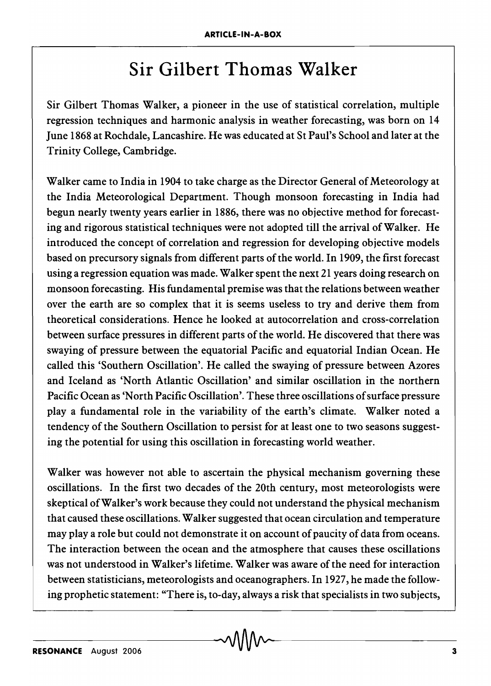## Sir Gilbert Thomas Walker

Sir Gilbert Thomas Walker, a pioneer in the use of statistical correlation, multiple regression techniques and harmonic analysis in weather forecasting, was born on 14 June 1868 at Rochdale, Lancashire. He was educated at St Paul's School and later at the Trinity College, Cambridge.

Walker came to India in 1904 to take charge as the Director General of Meteorology at the India Meteorological Department. Though monsoon forecasting in India had begun nearly twenty years earlier in 1886, there was no objective method for forecasting and rigorous statistical techniques were not adopted till the arrival of Walker. He introduced the concept of correlation and regression for developing objective models based on precursory signals from different parts of the world. In 1909, the first forecast using a regression equation was made. Walker spent the next 21 years doing research on monsoon forecasting. His fundamental premise was that the relations between weather over the earth are so complex that it is seems useless to try and derive them from theoretical considerations. Hence he looked at autocorrelation and cross-correlation between surface pressures in different parts of the world. He discovered that there was swaying of pressure between the equatorial Pacific and equatorial Indian Ocean. He called this 'Southern Oscillation'. He called the swaying of pressure between Azores and Iceland as 'North Atlantic Oscillation' and similar oscillation in the northern Pacific Ocean as 'North Pacific Oscillation'. These three oscillations of surface pressure playa fundamental role in the variability of the earth's climate. Walker noted a tendency of the Southern Oscillation to persist for at least one to two seasons suggesting the potential for using this oscillation in forecasting world weather.

Walker was however not able to ascertain the physical mechanism governing these oscillations. In the first two decades of the 20th century, most meteorologists were skeptical of Walker's work because they could not understand the physical mechanism that caused these oscillations. Walker suggested that ocean circulation and temperature may playa role but could not demonstrate it on account of paucity of data from oceans. The interaction between the ocean and the atmosphere that causes these oscillations was not understood in Walker's lifetime. Walker was aware of the need for interaction between statisticians, meteorologists and oceanographers. In 1927, he made the following prophetic statement: "There is, to-day, always a risk that specialists in two subjects,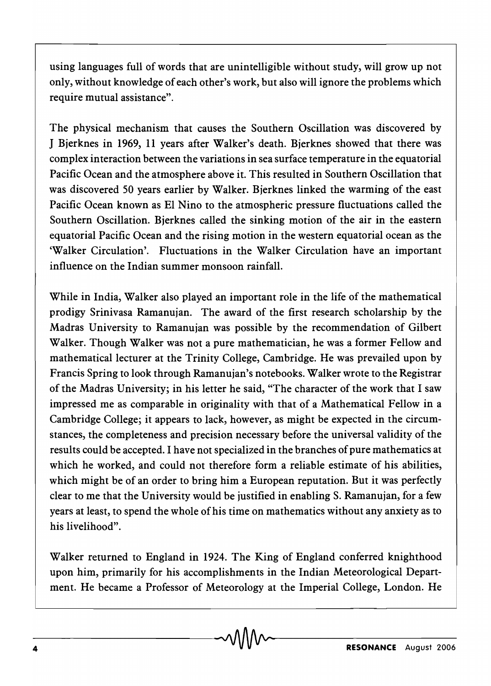using languages full of words that are unintelligible without study, will grow up not only, without knowledge of each other's work, but also will ignore the problems which require mutual assistance".

The physical mechanism that causes the Southern Oscillation was discovered by J Bjerknes in 1969, 11 years after Walker's death. Bjerknes showed that there was complex interaction between the variations in sea surface temperature in the equatorial Pacific Ocean and the atmosphere above it. This resulted in Southern Oscillation that was discovered SO years earlier by Walker. Bjerknes linked the warming of the east Pacific Ocean known as El Nino to the atmospheric pressure fluctuations called the Southern Oscillation. Bjerknes called the sinking motion of the air in the eastern equatorial Pacific Ocean and the rising motion in the western equatorial ocean as the 'Walker Circulation'. Fluctuations in the Walker Circulation have an important influence on the Indian summer monsoon rainfall.

While in India, Walker also played an important role in the life of the mathematical prodigy Srinivasa Ramanujan. The award of the first research scholarship by the Madras University to Ramanujan was possible by the recommendation of Gilbert Walker. Though Walker was not a pure mathematician, he was a former Fellow and mathematical lecturer at the Trinity College, Cambridge. He was prevailed upon by Francis Spring to look through Ramanujan's notebooks. Walker wrote to the Registrar of the Madras University; in his letter he said, "The character of the work that I saw impressed me as comparable in originality with that of a Mathematical Fellow in a Cambridge College; it appears to lack, however, as might be expected in the circumstances, the completeness and precision necessary before the universal validity of the results could be accepted. I have not specialized in the branches of pure mathematics at which he worked, and could not therefore form a reliable estimate of his abilities, which might be of an order to bring him a European reputation. But it was perfectly clear to me that the University would be justified in enabling S. Ramanujan, for a few years at least, to spend the whole of his time on mathematics without any anxiety as to his livelihood".

Walker returned to England in 1924. The King of England conferred knighthood upon him, primarily for his accomplishments in the Indian Meteorological Department. He became a Professor of Meteorology at the Imperial College, London. He